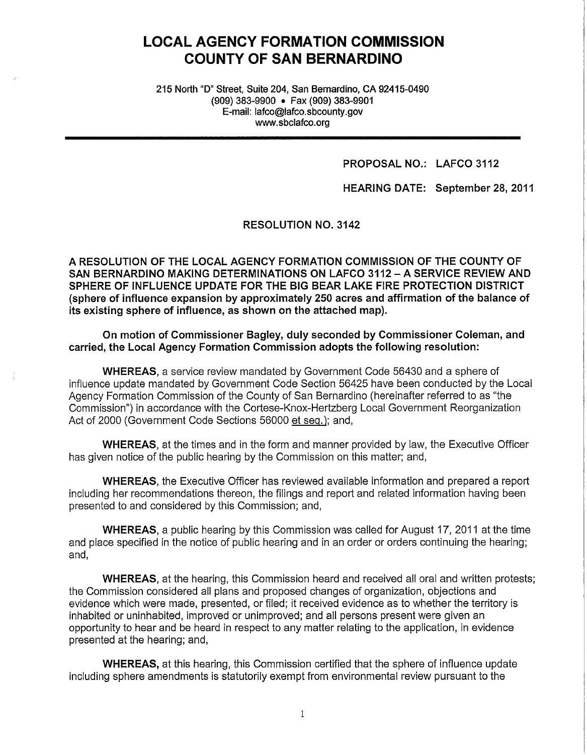# **LOCAL AGENCY FORMATION COMMISSION COUNTY OF SAN BERNARDINO**

215 North "D" Street, Suite 204, San Bernardino, CA 92415-0490 (909) 383-9900 • Fax (909) 383-9901 E-mail: lafco@lafco.sbcounty.gov www.sbclafco.org

#### **PROPOSAL NO.: LAFCO 3112**

**HEARING DATE: September 28, 2011** 

RESOLUTION NO. 3142

**A RESOLUTION OF THE LOCAL AGENCY FORMATION COMMISSION OF THE COUNTY OF SAN BERNARDINO MAKING DETERMINATIONS ON LAFCO 3112-A SERVICE REVIEW AND SPHERE OF INFLUENCE UPDATE FOR THE BIG BEAR LAKE FIRE PROTECTION DISTRICT {sphere of influence expansion by approximately 250 acres and affirmation of the balance of its existing sphere of influence, as shown on the attached map).** 

**On motion of Commissioner Bagley, duly seconded by Commissioner Coleman, and carried, the Local Agency Formation Commission adopts the following resolution:** 

**WHEREAS,** a service review mandated by Government Code 56430 and a sphere of influence update mandated by Government Code Section 56425 have been conducted by the Local Agency Formation Commission of the County of San Bernardino (hereinafter referred to as "the Commission") in accordance with the Cortese-Knox-Hertzberg Local Government Reorganization Act of 2000 (Government Code Sections 56000 et seq.); and,

**WHEREAS,** at the times and in the form and manner provided by law, the Executive Officer has given notice of the public hearing by the Commission on this matter; and,

**WHEREAS,** the Executive Officer has reviewed available information and prepared a report including her recommendations thereon, the filings and report and related information having been presented to and considered by this Commission; and,

**WHEREAS,** a public hearing by this Commission was called for August 17, 2011 at the time and place specified in the notice of public hearing and in an order or orders continuing the hearing; and,

**WHEREAS,** at the hearing, this Commission heard and received all oral and written protests; the Commission considered all plans and proposed changes of organization, objections and evidence which were made, presented, or filed; it received evidence as to whether the territory is inhabited or uninhabited, improved or unimproved; and all persons present were given an opportunity to hear and be heard in respect to any matter relating to the application, in evidence presented at the hearing; and,

**WHEREAS,** at this hearing, this Commission certified that the sphere of influence update including sphere amendments is statutorily exempt from environmental review pursuant to the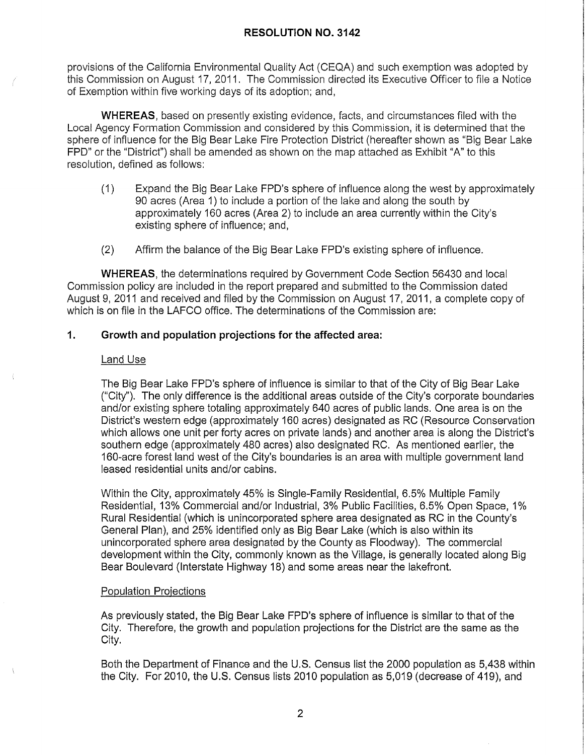provisions of the California Environmental Quality Act (CEQA) and such exemption was adopted by this Commission on August 17, 2011. The Commission directed its Executive Officer to file a Notice of Exemption within five working days of its adoption; and,

**WHEREAS,** based on presently existing evidence, facts, and circumstances filed with the Local Agency Formation Commission and considered by this Commission, it is determined that the sphere of influence for the Big Bear Lake Fire Protection District (hereafter shown as "Big Bear Lake FPO" or the "District") shall be amended as shown on the map attached as Exhibit "A" to this resolution, defined as follows:

- (1) Expand the Big Bear Lake FPD's sphere of influence along the west by approximately 90 acres (Area 1) to include a portion of the lake and along the south by approximately 160 acres (Area 2) to include an area currently within the City's existing sphere of influence; and,
- (2) Affirm the balance of the Big Bear Lake FPD's existing sphere of influence.

**WHEREAS,** the determinations required by Government Code Section 56430 and local Commission policy are included in the report prepared and submitted to the Commission dated August 9, 2011 and received and filed by the Commission on August 17, 2011, a complete copy of which is on file in the LAFCO office. The determinations of the Commission are:

# **1. Growth and population projections for the affected area:**

#### Land Use

The Big Bear Lake FPD's sphere of influence is similar to that of the City of Big Bear Lake ("City"). The only difference is the additional areas outside of the City's corporate boundaries and/or existing sphere totaling approximately 640 acres of public lands. One area is on the District's western edge ( approximately 160 acres) designated as RC (Resource Conservation which allows one unit per forty acres on private lands) and another area is along the District's southern edge (approximately 480 acres) also designated RC. As mentioned earlier, the 160-acre forest land west of the City's boundaries is an area with multiple government land leased residential units and/or cabins.

Within the City, approximately 45% is Single-Family Residential, 6.5% Multiple Family Residential, 13% Commercial and/or Industrial, 3% Public Facilities, 6.5% Open Space, 1 % Rural Residential (which is unincorporated sphere area designated as RC in the County's General Plan), and 25% identified only as Big Bear Lake (which is also within its unincorporated sphere area designated by the County as Floodway). The commercial development within the City, commonly known as the Village, is generally located along Big Bear Boulevard (Interstate Highway 18) and some areas near the lakefront.

#### Population Projections

As previously stated, the Big Bear Lake FPD's sphere of influence is similar to that of the City. Therefore, the growth and population projections for the District are the same as the City.

Both the Department of Finance and the U.S. Census list the 2000 population as 5,438 within the City. For 2010, the U.S. Census lists 2010 population as 5,019 (decrease of 419), and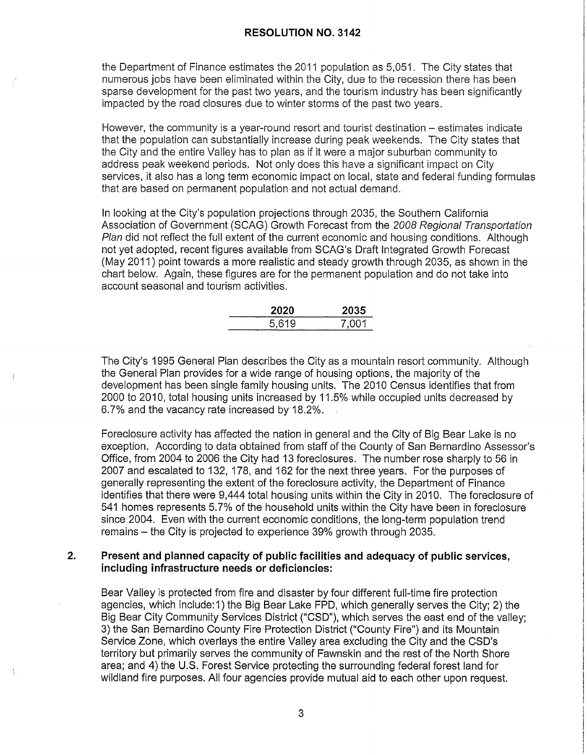the Department of Finance estimates the 2011 population as 5,051. The City states that numerous jobs have been eliminated within the City, due to the recession there has been sparse development for the past two years, and the tourism industry has been significantly impacted by the road closures due to winter storms of the past two years.

However, the community is a year-round resort and tourist destination – estimates indicate that the population can substantially increase during peak weekends. The City states that the City and the entire Valley has to plan as if it were a major suburban community to address peak weekend periods. Not only does this have a significant impact on City services, it also has a long term economic impact on local, state and federal funding formulas that are based on permanent population and not actual demand.

In looking at the City's population projections through 2035, the Southern California Association of Government (SCAG) Growth Forecast from the 2008 Regional Transportation Plan did not reflect the full extent of the current economic and housing conditions. Although not yet adopted, recent figures available from SCAG's Draft Integrated Growth Forecast (May 2011) point towards a more realistic and steady growth through 2035, as shown in the chart below. Again, these figures are for the permanent population and do not take into account seasonal and tourism activities.

| 2020  | 2035  |
|-------|-------|
| 5,619 | 7.001 |

The City's 1995 General Plan describes the City as a mountain resort community. Although the General Plan provides for a wide range of housing options, the majority of the development has been single family housing units. The 2010 Census identifies that from 2000 to 2010, total housing units increased by 11.5% while occupied units decreased by 6.7% and the vacancy rate increased by 18.2%.

Foreclosure activity has affected the nation in general and the City of Big Bear Lake is no exception. According to data obtained from staff of the County of San Bernardino Assessor's Office, from 2004 to 2006 the City had 13 foreclosures. The number rose sharply to 56 in 2007 and escalated to 132, 178, and 162 for the next three years. For the purposes of generally representing the extent of the foreclosure activity, the Department of Finance identifies that there were 9,444 total housing units within the City in 2010. The foreclosure of 541 homes represents 5. 7% of the household units within the City have been in foreclosure since 2004. Even with the current economic conditions, the long-term population trend remains - the City is projected to experience 39% growth through 2035.

#### **2. Present and planned capacity of public facilities and adequacy of public services, including infrastructure needs or deficiencies:**

Bear Valley is protected from fire and disaster by four different full-time fire protection agencies, which include: 1) the Big Bear Lake FPO, which generally serves the City; 2) the Big Bear City Community Services District ("CSD"), which serves the east end of the valley; 3) the San Bernardino County Fire Protection District ("County Fire") and its Mountain Service Zone, which overlays the entire Valley area excluding the City and the CSD's territory but primarily serves the community of Fawnskin and the rest of the North Shore area; and 4) the U.S. Forest Service protecting the surrounding federal forest land for wildland fire purposes. All four agencies provide mutual aid to each other upon request.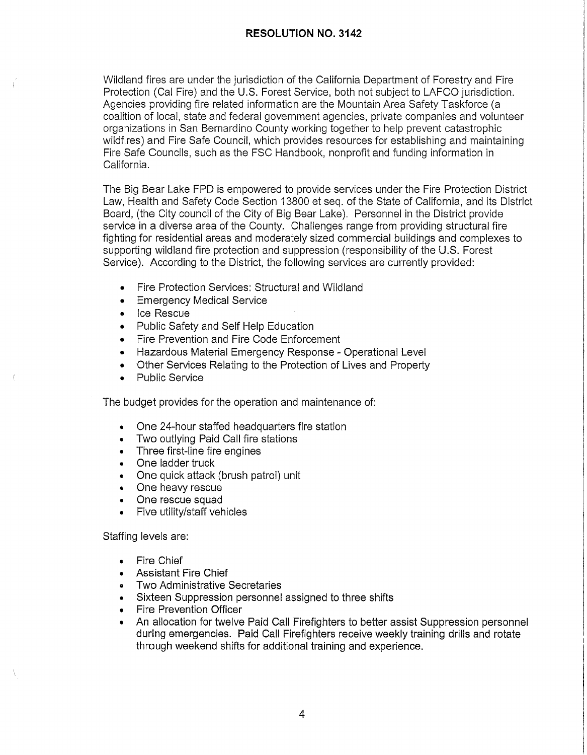Wildland fires are under the jurisdiction of the California Department of Forestry and Fire Protection (Cal Fire) and the U.S. Forest Service, both not subject to LAFCO jurisdiction. Agencies providing fire related information are the Mountain Area Safety Taskforce (a coalition of local, state and federal government agencies, private companies and volunteer organizations in San Bernardino County working together to help prevent catastrophic wildfires) and Fire Safe Council, which provides resources for establishing and maintaining Fire Safe Councils, such as the FSC Handbook, nonprofit and funding information in California.

The Big Bear Lake FPO is empowered to provide services under the Fire Protection District Law, Health and Safety Code Section 13800 et seq. of the State of California, and its District Board, (the City council of the City of Big Bear Lake). Personnel in the District provide service in a diverse area of the County. Challenges range from providing structural fire fighting for residential areas and moderately sized commercial buildings and complexes to supporting wildland fire protection and suppression (responsibility of the U.S. Forest Service). According to the District, the following services are currently provided:

- Fire Protection Services: Structural and Wildland
- Emergency Medical Service
- Ice Rescue
- Public Safety and Self Help Education
- Fire Prevention and Fire Code Enforcement
- Hazardous Material Emergency Response Operational Level
- Other Services Relating to the Protection of Lives and Property
- Public Service

The budget provides for the operation and maintenance of:

- One 24-hour staffed headquarters fire station
- Two outlying Paid Call fire stations
- Three first-line fire engines
- One ladder truck
- One quick attack (brush patrol) unit
- One heavy rescue
- One rescue squad
- Five utility/staff vehicles

Staffing levels are:

• Fire Chief

Å

- Assistant Fire Chief
- Two Administrative Secretaries
- Sixteen Suppression personnel assigned to three shifts
- Fire Prevention Officer
- An allocation for twelve Paid Call Firefighters to better assist Suppression personnel during emergencies. Paid Call Firefighters receive weekly training drills and rotate through weekend shifts for additional training and experience.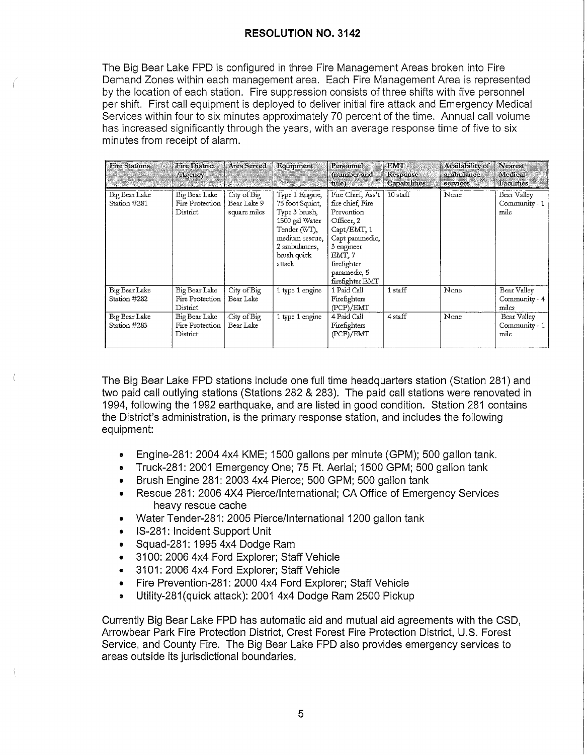The Big Bear Lake FPO is configured in three Fire Management Areas broken into Fire Demand Zones within each management area. Each Fire Management Area is represented by the location of each station. Fire suppression consists of three shifts with five personnel per shift. First call equipment is deployed to deliver initial fire attack and Emergency Medical Services within four to six minutes approximately 70 percent of the time. Annual call volume has increased significantly through the years, with an average response time of five to six minutes from receipt of alarm.

| <b>Fire Stations</b>          | <b>Fire District</b><br>/Agency              | Area Served                                | Equipment                                                                                                                                        | Personnel<br>(number and<br>title)                                                                                                                                            | <b>EMT</b><br>Response<br><b>Capabilities</b> | Availability of<br>ambulance<br>services | Nearest<br>Medical<br>Facilities      |
|-------------------------------|----------------------------------------------|--------------------------------------------|--------------------------------------------------------------------------------------------------------------------------------------------------|-------------------------------------------------------------------------------------------------------------------------------------------------------------------------------|-----------------------------------------------|------------------------------------------|---------------------------------------|
| Big Bear Lake<br>Station #281 | Big Bear Lake<br>Fire Protection<br>District | City of Big<br>Bear Lake 9<br>square miles | Type 1 Engine,<br>75 foot Souint,<br>Type 3 brush,<br>1500 gal Water<br>Tender (WT),<br>medium rescue.<br>2 ambulances,<br>brush quick<br>attack | Fire Chief, Ass't<br>fire chief, Fire<br>Prevention<br>Officer, 2<br>Capt/EMT, 1<br>Capt paramedic,<br>3 engineer<br>EMT, 7<br>firefighter<br>paramedic, 5<br>firefighter EMT | 10 staff                                      | None                                     | Bear Valley<br>Community - 1<br>mile  |
| Big Bear Lake<br>Station #282 | Big Bear Lake<br>Fire Protection<br>District | City of Big<br>Bear Lake                   | 1 type 1 engine                                                                                                                                  | 1 Paid Call<br>Firefighters<br>(PCF)/EMT                                                                                                                                      | 1 staff                                       | None                                     | Bear Valley<br>Community - 4<br>miles |
| Big Bear Lake<br>Station #283 | Big Bear Lake<br>Fire Protection<br>District | City of Big<br>Bear Lake                   | 1 type 1 engine                                                                                                                                  | 4 Paid Call<br>Firefighters<br>(PCF)/EMT                                                                                                                                      | 4 staff                                       | None                                     | Bear Valley<br>Community - 1<br>mile  |

The Big Bear Lake FPO stations include one full time headquarters station (Station 281) and two paid call outlying stations (Stations 282 & 283). The paid call stations were renovated in 1994, following the 1992 earthquake, and are listed in good condition. Station 281 contains the District's administration, is the primary response station, and includes the following equipment:

- Engine-281: 2004 4x4 KME; 1500 gallons per minute ( GPM); 500 gallon tank.
- Truck-281: 2001 Emergency One; 75 Ft. Aerial; 1500 GPM; 500 gallon tank
- Brush Engine 281: 2003 4x4 Pierce; 500 GPM; 500 gallon tank
- Rescue 281: 2006 4X4 Pierce/International; CA Office of Emergency Services heavy rescue cache
- Water Tender-281: 2005 Pierce/International 1200 gallon tank
- IS-281: Incident Support Unit
- Squad-281: 1995 4x4 Dodge Ram
- 3100: 2006 4x4 Ford Explorer; Staff Vehicle
- 3101: 2006 4x4 Ford Explorer; Staff Vehicle
- Fire Prevention-281: 2000 4x4 Ford Explorer; Staff Vehicle
- Utility-281(quick attack): 2001 4x4 Dodge Ram 2500 Pickup

Currently Big Bear Lake FPO has automatic aid and mutual aid agreements with the CSD, Arrowbear Park Fire Protection District, Crest Forest Fire Protection District, U.S. Forest Service, and County Fire. The Big Bear Lake FPO also provides emergency services to areas outside its jurisdictional boundaries.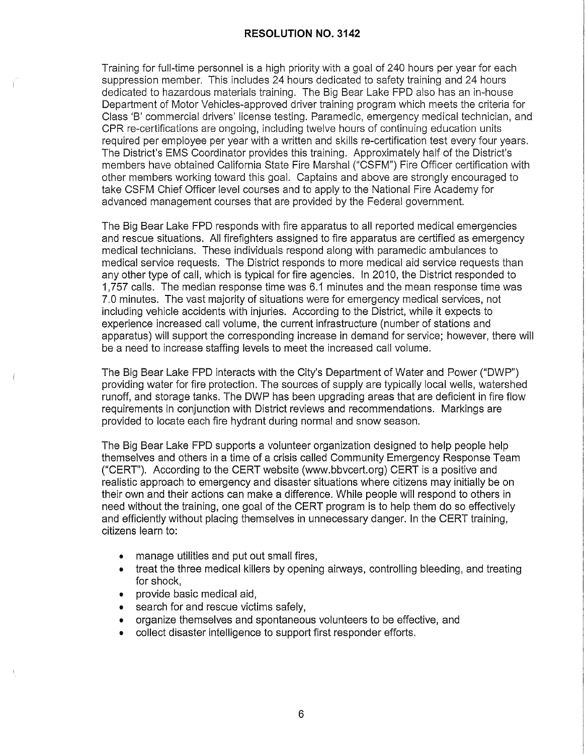Training for full-time personnel is a high priority with a goal of 240 hours per year for each suppression member. This includes 24 hours dedicated to safety training and 24 hours dedicated to hazardous materials training. The Big Bear Lake FPD also has an in-house Department of Motor Vehicles-approved driver training program which meets the criteria for Class 'B' commercial drivers' license testing. Paramedic, emergency medical technician, and CPR re-certifications are ongoing, including twelve hours of continuing education units required per employee per year with a written and skills re-certification test every four years. The District's EMS Coordinator provides this training. Approximately half of the District's members have obtained California State Fire Marshal ("CSFM") Fire Officer certification with other members working toward this goal. Captains and above are strongly encouraged to take CSFM Chief Officer level courses and to apply to the National Fire Academy for advanced management courses that are provided by the Federal government.

The Big Bear Lake FPD responds with fire apparatus to all reported medical emergencies and rescue situations. All firefighters assigned to fire apparatus are certified as emergency medical technicians. These individuals respond along with paramedic ambulances to medical service requests. The District responds to more medical aid service requests than any other type of call, which is typical for fire agencies. In 2010, the District responded to 1,757 calls. The median response time was 6.1 minutes and the mean response time was 7.0 minutes. The vast majority of situations were for emergency medical services, not including vehicle accidents with injuries. According to the District, while it expects to experience increased call volume, the current infrastructure (number of stations and apparatus) will support the corresponding increase in demand for service; however, there will be a need to increase staffing levels to meet the increased call volume.

The Big Bear Lake FPD interacts with the City's Department of Water and Power ("DWP") providing water for fire protection. The sources of supply are typically local wells, watershed runoff, and storage tanks. The DWP has been upgrading areas that are deficient in fire flow requirements in conjunction with District reviews and recommendations. Markings are provided to locate each fire hydrant during normal and snow season.

The Big Bear Lake FPD supports a volunteer organization designed to help people help themselves and others in a time of a crisis called Community Emergency Response Team ("CERT"). According to the CERT website (www.bbvcert.org) CERT is a positive and realistic approach to emergency and disaster situations where citizens may initially be on their own and their actions can make a difference. While people will respond to others in need without the training, one goal of the CERT program is to help them do so effectively and efficiently without placing themselves in unnecessary danger. In the CERT training, citizens learn to:

- manage utilities and put out small fires,
- treat the three medical killers by opening airways, controlling bleeding, and treating for shock,
- provide basic medical aid,
- search for and rescue victims safely,
- organize themselves and spontaneous volunteers to be effective, and
- collect disaster intelligence to support first responder efforts.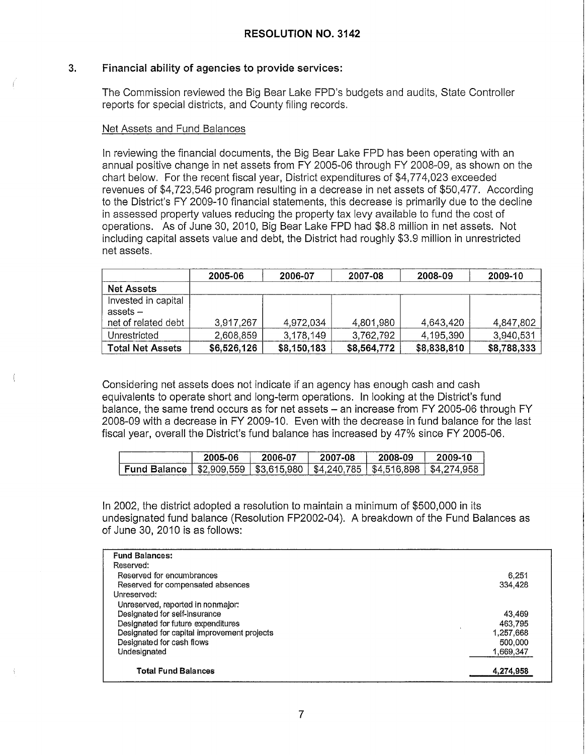# **3. Financial ability of agencies to provide services:**

The Commission reviewed the Big Bear Lake FPD's budgets and audits, State Controller reports for special districts, and County filing records.

#### Net Assets and Fund Balances

In reviewing the financial documents, the Big Bear Lake FPO has been operating with an annual positive change in net assets from FY 2005-06 through FY 2008-09, as shown on the chart below. For the recent fiscal year, District expenditures of \$4,774,023 exceeded revenues of \$4,723,546 program resulting in a decrease in net assets of \$50,477. According to the District's FY 2009-10 financial statements, this decrease is primarily due to the decline in assessed property values reducing the property tax levy available to fund the cost of operations. As of June 30, 2010, Big Bear Lake FPO had \$8.8 million in net assets. Not including capital assets value and debt, the District had roughly \$3.9 million in unrestricted net assets.

|                         | 2005-06     | 2006-07     | 2007-08     | 2008-09     | 2009-10     |
|-------------------------|-------------|-------------|-------------|-------------|-------------|
| <b>Net Assets</b>       |             |             |             |             |             |
| Invested in capital     |             |             |             |             |             |
| assets –                |             |             |             |             |             |
| net of related debt     | 3.917.267   | 4,972,034   | 4,801,980   | 4,643,420   | 4,847,802   |
| Unrestricted            | 2,608,859   | 3,178,149   | 3,762,792   | 4,195,390   | 3,940,531   |
| <b>Total Net Assets</b> | \$6,526,126 | \$8,150,183 | \$8,564,772 | \$8,838,810 | \$8,788,333 |

Considering net assets does not indicate if an agency has enough cash and cash equivalents to operate short and long-term operations. In looking at the District's fund balance, the same trend occurs as for net assets - an increase from FY 2005-06 through FY 2008-09 with a decrease in FY 2009-10. Even with the decrease in fund balance for the last fiscal year, overall the District's fund balance has increased by 47% since FY 2005-06.

|                     | 2005-06     | $2006 - 07$ | 2007-08     | 2008-09     | 2009-10  |
|---------------------|-------------|-------------|-------------|-------------|----------|
| <b>Fund Balance</b> | \$2.909.559 | \$3.615.980 | \$4,240,785 | \$4.516.898 | \$4,274. |

In 2002, the district adopted a resolution to maintain a minimum of \$500,000 in its undesignated fund balance (Resolution FP2002-04). A breakdown of the Fund Balances as of June 30, 2010 is as follows:

| <b>Fund Balances:</b>                       |           |
|---------------------------------------------|-----------|
| Reserved:                                   |           |
| Reserved for encumbrances                   | 6.251     |
| Reserved for compensated absences           | 334,428   |
| Unreserved:                                 |           |
| Unreserved, reported in nonmalor:           |           |
| Designated for self-insurance               | 43,469    |
| Designated for future expenditures          | 463.795   |
| Designated for capital improvement projects | 1,257,668 |
| Designated for cash flows                   | 500.000   |
| Undesignated                                | 1,669,347 |
|                                             |           |
| <b>Total Fund Balances</b>                  | 4,274,958 |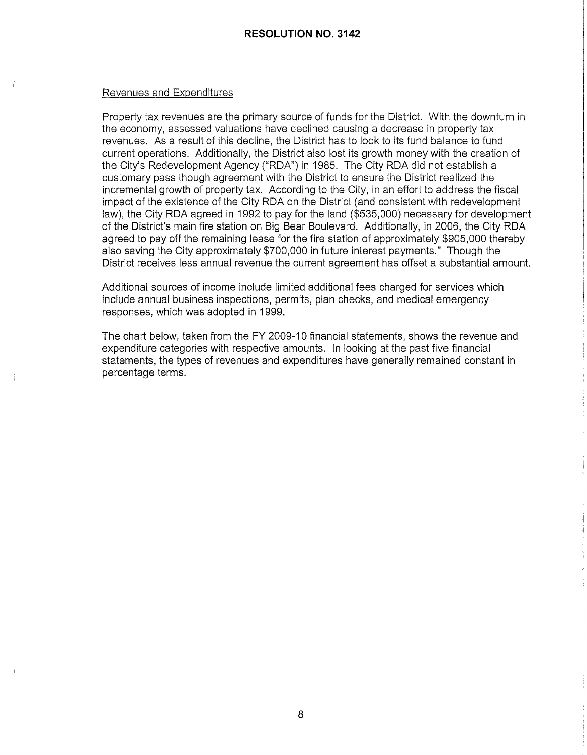#### Revenues and Expenditures

Property tax revenues are the primary source of funds for the District. With the downturn in the economy, assessed valuations have declined causing a decrease in property tax revenues. As a result of this decline, the District has to look to its fund balance to fund current operations. Additionally, the District also lost its growth money with the creation of the City's Redevelopment Agency ("RDA") in 1985. The City RDA did not establish a customary pass though agreement with the District to ensure the District realized the incremental growth of property tax. According to the City, in an effort to address the fiscal impact of the existence of the City RDA on the District (and consistent with redevelopment law), the City RDA agreed in 1992 to pay for the land (\$535,000) necessary for development of the District's main fire station on Big Bear Boulevard. Additionally, in 2006, the City RDA agreed to pay off the remaining lease for the fire station of approximately \$905,000 thereby also saving the City approximately \$700,000 in future interest payments." Though the District receives less annual revenue the current agreement has offset a substantial amount.

Additional sources of income include limited additional fees charged for services which include annual business inspections, permits, plan checks, and medical emergency responses, which was adopted in 1999.

The chart below, taken from the FY 2009-10 financial statements, shows the revenue and expenditure categories with respective amounts. In looking at the past five financial statements, the types of revenues and expenditures have generally remained constant in percentage terms.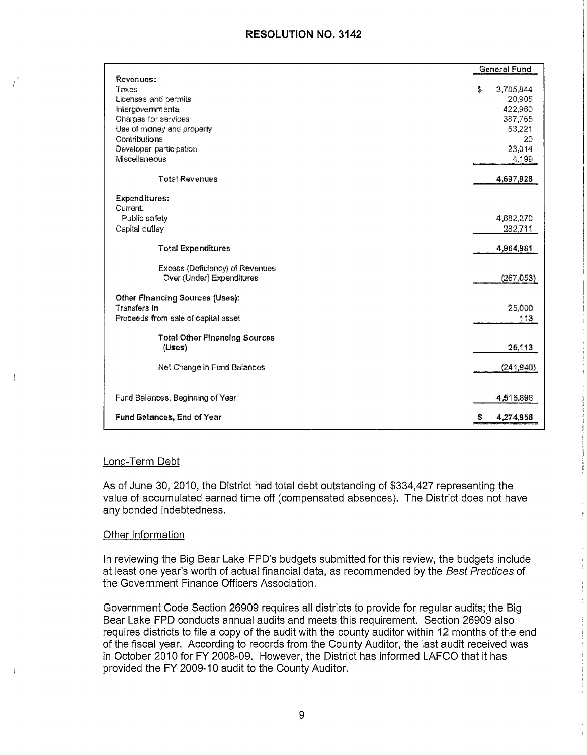|                                            |   | General Fund |
|--------------------------------------------|---|--------------|
| Revenues:                                  |   |              |
| Taxes                                      | Š | 3,785,844    |
| Licenses and permits                       |   | 20,905       |
| Intergovernmental                          |   | 422,960      |
| Charges for services                       |   | 387,765      |
| Use of money and property<br>Contributions |   | 53,221       |
| Developer participation                    |   | 20<br>23,014 |
| Miscellaneous                              |   | 4,199        |
|                                            |   |              |
| <b>Total Revenues</b>                      |   | 4,697,928    |
| <b>Expenditures:</b>                       |   |              |
| Current:                                   |   |              |
| Public safety                              |   | 4,682,270    |
| Capital outlay                             |   | 282,711      |
|                                            |   |              |
| <b>Total Expenditures</b>                  |   | 4,964,981    |
| Excess (Deficiency) of Revenues            |   |              |
| Over (Under) Expenditures                  |   | (267,053)    |
|                                            |   |              |
| Other Financing Sources (Uses):            |   |              |
| Transfers in                               |   | 25,000       |
| Proceeds from sale of capital asset        |   | 113          |
|                                            |   |              |
| <b>Total Other Financing Sources</b>       |   |              |
| $(U$ ses $)$                               |   | 25,113       |
|                                            |   |              |
| Net Change in Fund Balances                |   | (241, 940)   |
|                                            |   |              |
| Fund Balances, Beginning of Year           |   | 4,516,898    |
|                                            |   |              |
| <b>Fund Balances, End of Year</b>          | S | 4,274,958    |
|                                            |   |              |

#### Long-Term Debt

As of June 30, 2010, the District had total debt outstanding of \$334,427 representing the value of accumulated earned time off ( compensated absences). The District does not have any bonded indebtedness.

#### Other Information

In reviewing the Big Bear Lake FPD's budgets submitted for this review, the budgets include at least one year's worth of actual financial data, as recommended by the Best Practices of the Government Finance Officers Association.

Government Code Section 26909 requires all districts to provide for regular audits; the Big Bear Lake FPD conducts annual audits and meets this requirement. Section 26909 also requires districts to file a copy of the audit with the county auditor within 12 months of the end of the fiscal year. According to records from the County Auditor, the last audit received was in October 2010 for FY 2008-09. However, the District has informed LAFCO that it has provided the FY 2009-10 audit to the County Auditor.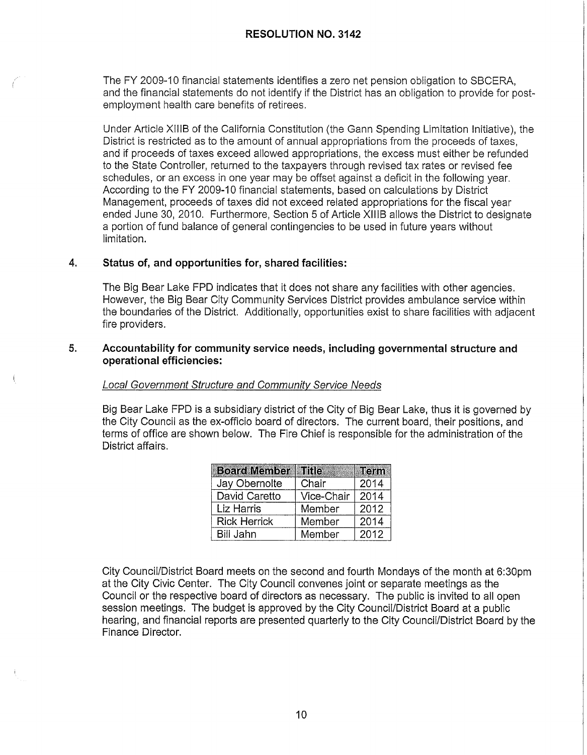The FY 2009-10 financial statements identifies a zero net pension obligation to SBCERA, and the financial statements do not identify if the District has an obligation to provide for postemployment health care benefits of retirees.

Under Article XIIIB of the California Constitution (the Gann Spending Limitation Initiative), the District is restricted as to the amount of annual appropriations from the proceeds of taxes, and if proceeds of taxes exceed allowed appropriations, the excess must either be refunded to the State Controller, returned to the taxpayers through revised tax rates or revised fee schedules, or an excess in one year may be offset against a deficit in the following year. According to the FY 2009-10 financial statements, based on calculations by District Management, proceeds of taxes did not exceed related appropriations for the fiscal year ended June 30, 2010. Furthermore, Section 5 of Article XIIIB allows the District to designate a portion of fund balance of general contingencies to be used in future years without limitation.

# **4. Status of, and opportunities for, shared facilities:**

The Big Bear Lake FPO indicates that it does not share any facilities with other agencies. However, the Big Bear City Community Services District provides ambulance service within the boundaries of the District. Additionally, opportunities exist to share facilities with adjacent fire providers.

#### **5. Accountability for community service needs, including governmental structure and operational efficiencies:**

#### Local Government Structure and Community Service Needs

Big Bear Lake FPO is a subsidiary district of the City of Big Bear Lake, thus it is governed by the City Council as the ex-officio board of directors. The current board, their positions, and terms of office are shown below. The Fire Chief is responsible for the administration of the District affairs.

| <b>Board Member   Title</b> |            | <b>Term</b> |
|-----------------------------|------------|-------------|
| Jay Obernolte               | Chair      | 2014        |
| David Caretto               | Vice-Chair | 2014        |
| Liz Harris                  | Member     | 2012        |
| <b>Rick Herrick</b>         | Member     | 2014        |
| Bill Jahn                   | Member     | 2012        |

City Council/District Board meets on the second and fourth Mondays of the month at 6:30pm at the City Civic Center. The City Council convenes joint or separate meetings as the Council or the respective board of directors as necessary. The public is invited to all open session meetings. The budget is approved by the City Council/District Board at a public hearing, and financial reports are presented quarterly to the City Council/District Board by the Finance Director.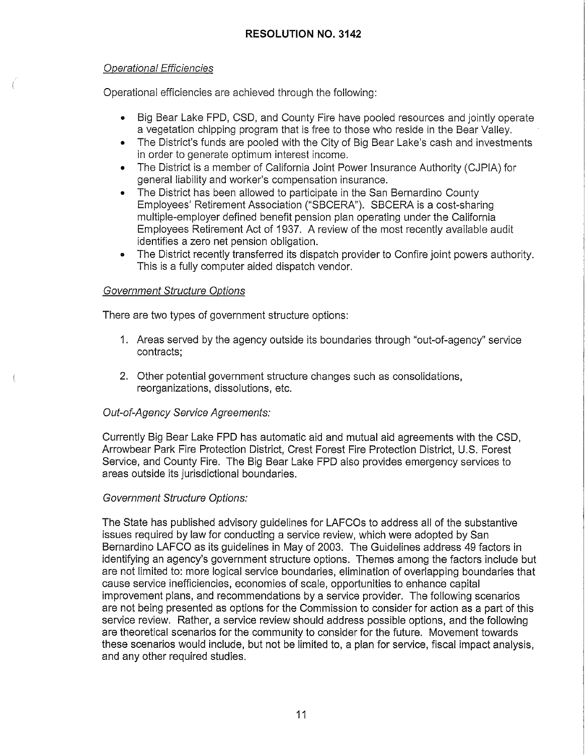# Operational Efficiencies

Operational efficiencies are achieved through the following:

- Big Bear Lake FPO, CSD, and County Fire have pooled resources and jointly operate a vegetation chipping program that is free to those who reside in the Bear Valley.
- The District's funds are pooled with the City of Big Bear Lake's cash and investments in order to generate optimum interest income.
- The District is a member of California Joint Power Insurance Authority (CJPIA) for general liability and worker's compensation insurance.
- The District has been allowed to participate in the San Bernardino County Employees' Retirement Association ("SBCERA"). SBCERA is a cost-sharing multiple-employer defined benefit pension plan operating under the California Employees Retirement Act of 1937. A review of the most recently available audit identifies a zero net pension obligation.
- The District recently transferred its dispatch provider to Confire joint powers authority. This is a fully computer aided dispatch vendor.

# Government Structure Options

There are two types of government structure options:

- 1. Areas served by the agency outside its boundaries through "out-of-agency" service contracts;
- 2. Other potential government structure changes such as consolidations, reorganizations, dissolutions, etc.

# Out-of-Agency Service Agreements:

Currently Big Bear Lake FPO has automatic aid and mutual aid agreements with the CSD, Arrowbear Park Fire Protection District, Crest Forest Fire Protection District, U.S. Forest Service, and County Fire. The Big Bear Lake FPO also provides emergency services to areas outside its jurisdictional boundaries.

# Government Structure Options:

The State has published advisory guidelines for LAFCOs to address all of the substantive issues required by law for conducting a service review, which were adopted by San Bernardino LAFCO as its guidelines in May of 2003. The Guidelines address 49 factors in identifying an agency's government structure options. Themes among the factors include but are not limited to: more logical service boundaries, elimination of overlapping boundaries that cause service inefficiencies, economies of scale, opportunities to enhance capital improvement plans, and recommendations by a service provider. The following scenarios are not being presented as options for the Commission to consider for action as a part of this service review. Rather, a service review should address possible options, and the following are theoretical scenarios for the community to consider for the future. Movement towards these scenarios would include, but not be limited to, a plan for service, fiscal impact analysis, and any other required studies.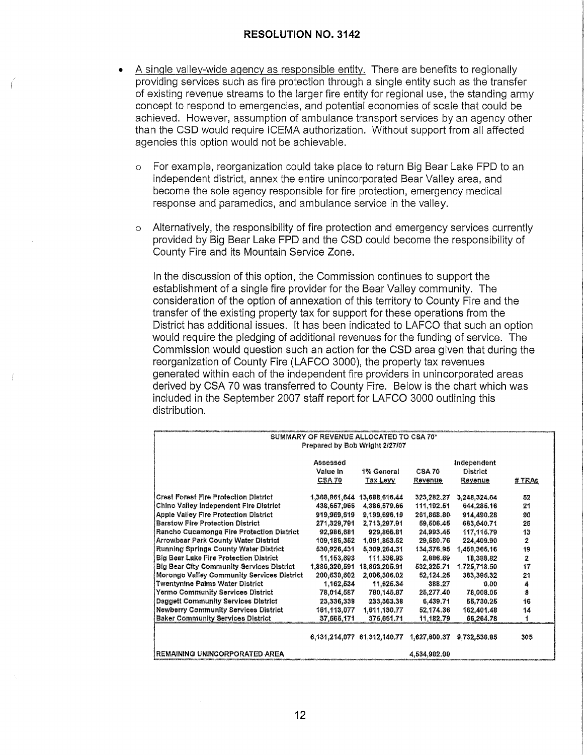- A single valley-wide agency as responsible entity. There are benefits to regionally providing services such as fire protection through a single entity such as the transfer of existing revenue streams to the larger fire entity for regional use, the standing army concept to respond to emergencies, and potential economies of scale that could be achieved. However, assumption of ambulance transport services by an agency other than the CSO would require ICEMA authorization. Without support from all affected agencies this option would not be achievable.
	- o For example, reorganization could take place to return Big Bear Lake FPO to an independent district, annex the entire unincorporated Bear Valley area, and become the sole agency responsible for fire protection, emergency medical response and paramedics, and ambulance service in the valley.
	- o Alternatively, the responsibility of fire protection and emergency services currently provided by Big Bear Lake FPO and the CSO could become the responsibility of County Fire and its Mountain Service Zone.

In the discussion of this option, the Commission continues to support the establishment of a single fire provider for the Bear Valley community. The consideration of the option of annexation of this territory to County Fire and the transfer of the existing property tax for support for these operations from the District has additional issues. It has been indicated to LAFCO that such an option would require the pledging of additional revenues for the funding of service. The Commission would question such an action for the CSO area given that during the reorganization of County Fire (LAFCO 3000), the property tax revenues generated within each of the independent fire providers in unincorporated areas derived by CSA 70 was transferred to County Fire. Below is the chart which was included in the September 2007 staff report for LAFCO 3000 outlining this distribution.

|                                                  | SUMMARY OF REVENUE ALLOCATED TO CSA 70* |                                                   |                           |              |        |  |
|--------------------------------------------------|-----------------------------------------|---------------------------------------------------|---------------------------|--------------|--------|--|
|                                                  | Prepared by Bob Wright 2/27/07          |                                                   |                           |              |        |  |
|                                                  | Assessed                                |                                                   |                           | Independent  |        |  |
|                                                  | Value in                                | 1% General                                        | <b>CSA 70</b><br>District |              |        |  |
|                                                  | CSA 70                                  | Tax Levy                                          | Revenue                   | Revenue      | # TRAs |  |
| <b>Crest Forest Fire Protection District</b>     |                                         | 1,368,861,644 13,688,616.44                       | 323,282.27                | 3,248,324.64 | 52     |  |
| <b>Chino Valley Independent Fire District</b>    | 438,657,966                             | 4,386,579.66                                      | 111, 192.51               | 644,285.16   | 21     |  |
| Apple Valley Fire Protection District            | 919,969,619                             | 9,199,696.19                                      | 261,868.80                | 914,490.28   | 90     |  |
| <b>Barstow Fire Protection District</b>          |                                         | 271,329,791 2,713,297.91                          | 59,506.45                 | 663,640.71   | 25     |  |
| Rancho Cucamonga Fire Protection District        | 92,986,681                              | 929,866.81                                        | 24.993.45                 | 117,115.79   | 13     |  |
| <b>Arrowbear Park County Water District</b>      | 109,185,352                             | 1,091,853.52                                      | 29.580.76                 | 224,409.90   | 2      |  |
| Running Springs County Water District            | 530,926,431                             | 5,309,264.31                                      | 134,376.95                | 1,450,365.16 | 19     |  |
| Big Bear Lake Fire Protection District           | 11,153,693                              | 111.536.93                                        | 2,886.69                  | 18,388.82    | 2      |  |
| <b>Big Bear City Community Services District</b> | 1,886,320,591                           | 18,863,205.91                                     | 532,325,71                | 1,725,718.60 | 17     |  |
| Morongo Valley Community Services District       | 200,630,602                             | 2,006,306.02                                      | 52,124.25                 | 363,395.32   | 21     |  |
| <b>Twentynine Palms Water District</b>           | 1,162,534                               | 11,625.34                                         | 388.27                    | 0.00         | 4      |  |
| Yermo Community Services District                | 78,014,587                              | 780,145,87                                        | 25.277.40                 | 78,008.05    | 8      |  |
| <b>Daggett Community Services District</b>       | 23,336,338                              | 233,363.38                                        | 6,439.71                  | 55,730.25    | 16     |  |
| <b>Newberry Community Services District</b>      | 161, 113, 077                           | 1,611,130.77                                      | 52,174.36                 | 162,401.48   | 14     |  |
| <b>Baker Community Services District</b>         | 37,565,171                              | 375,651.71                                        | 11,182.79                 | 66,264.78    | 1      |  |
|                                                  |                                         | 6, 131, 214, 077 61, 312, 140. 77 1, 627, 600. 37 |                           | 9.732.538.85 | 305    |  |
| REMAINING UNINCORPORATED AREA                    |                                         |                                                   | 4,534,982.00              |              |        |  |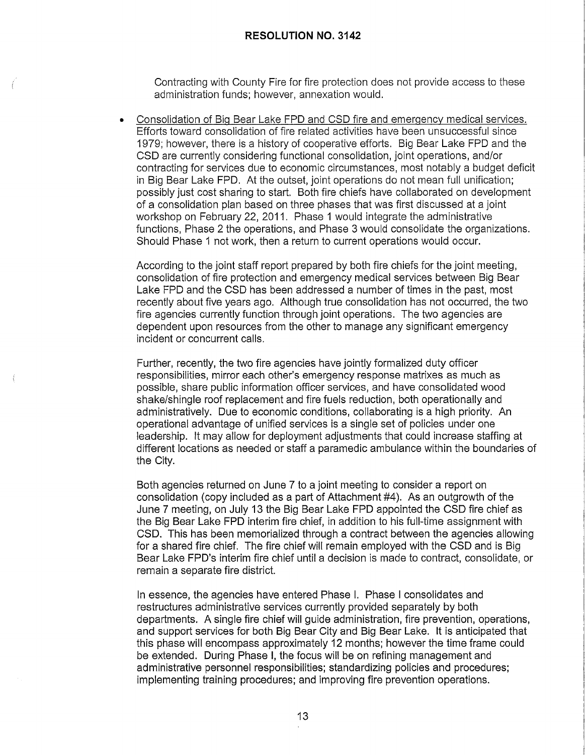Contracting with County Fire for fire protection does not provide access to these administration funds; however, annexation would.

• Consolidation of Big Bear Lake FPO and CSD fire and emergency medical services. Efforts toward consolidation of fire related activities have been unsuccessful since 1979; however, there is a history of cooperative efforts. Big Bear Lake FPO and the CSD are currently considering functional consolidation, joint operations, and/or contracting for services due to economic circumstances, most notably a budget deficit in Big Bear Lake FPO. At the outset, joint operations do not mean full unification; possibly just cost sharing to start. Both fire chiefs have collaborated on development of a consolidation plan based on three phases that was first discussed at a joint workshop on February 22, 2011. Phase 1 would integrate the administrative functions, Phase 2 the operations, and Phase 3 would consolidate the organizations. Should Phase 1 not work, then a return to current operations would occur.

According to the joint staff report prepared by both fire chiefs for the joint meeting, consolidation of fire protection and emergency medical services between Big Bear Lake FPO and the CSD has been addressed a number of times in the past, most recently about five years ago. Although true consolidation has not occurred, the two fire agencies currently function through joint operations. The two agencies are dependent upon resources from the other to manage any significant emergency incident or concurrent calls.

Further, recently, the two fire agencies have jointly formalized duty officer responsibilities, mirror each other's emergency response matrixes as much as possible, share public information officer services, and have consolidated wood shake/shingle roof replacement and fire fuels reduction, both operationally and administratively. Due to economic conditions, collaborating is a high priority. An operational advantage of unified services is a single set of policies under one leadership. It may allow for deployment adjustments that could increase staffing at different locations as needed or staff a paramedic ambulance within the boundaries of the City.

Both agencies returned on June 7 to a joint meeting to consider a report on consolidation (copy included as a part of Attachment #4). As an outgrowth of the June 7 meeting, on July 13 the Big Bear Lake FPO appointed the CSD fire chief as the Big Bear Lake FPO interim fire chief, in addition to his full-time assignment with CSD. This has been memorialized through a contract between the agencies allowing for a shared fire chief. The fire chief will remain employed with the CSD and is Big Bear Lake FPD's interim fire chief until a decision is made to contract, consolidate, or remain a separate fire district.

In essence, the agencies have entered Phase I. Phase I consolidates and restructures administrative services currently provided separately by both departments. A single fire chief will guide administration, fire prevention, operations, and support services for both Big Bear City and Big Bear Lake. It is anticipated that this phase will encompass approximately 12 months; however the time frame could be extended. During Phase I, the focus will be on refining management and administrative personnel responsibilities; standardizing policies and procedures; implementing training procedures; and improving fire prevention operations.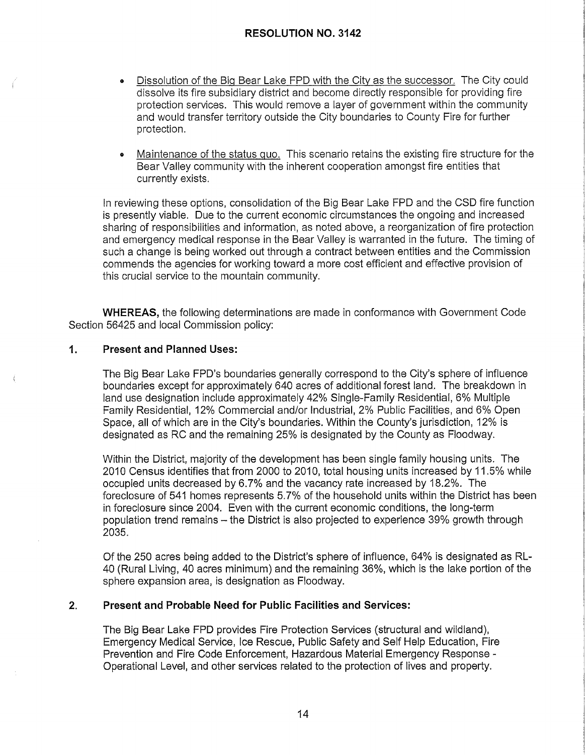- Dissolution of the Big Bear Lake FPO with the City as the successor. The City could dissolve its fire subsidiary district and become directly responsible for providing fire protection services. This would remove a layer of government within the community and would transfer territory outside the City boundaries to County Fire for further protection.
- **<sup>e</sup>**Maintenance of the status quo. This scenario retains the existing fire structure for the Bear Valley community with the inherent cooperation amongst fire entities that currently exists.

In reviewing these options, consolidation of the Big Bear Lake FPO and the CSD fire function is presently viable. Due to the current economic circumstances the ongoing and increased sharing of responsibilities and information, as noted above, a reorganization of fire protection and emergency medical response in the Bear Valley is warranted in the future. The timing of such a change is being worked out through a contract between entities and the Commission commends the agencies for working toward a more cost efficient and effective provision of this crucial service to the mountain community.

**WHEREAS,** the following determinations are made in conformance with Government Code Section 56425 and local Commission policy:

#### **1. Present and Planned Uses:**

The Big Bear Lake FPD's boundaries generally correspond to the City's sphere of influence boundaries except for approximately 640 acres of additional forest land. The breakdown in land use designation include approximately 42% Single-Family Residential, 6% Multiple Family Residential, 12% Commercial and/or Industrial, 2% Public Facilities, and 6% Open Space, all of which are in the City's boundaries. Within the County's jurisdiction, 12% is designated as RC and the remaining 25% is designated by the County as Floodway.

Within the District, majority of the development has been single family housing units. The 2010 Census identifies that from 2000 to 2010, total housing units increased by 11.5% while occupied units decreased by 6.7% and the vacancy rate increased by 18.2%. The foreclosure of 541 homes represents 5.7% of the household units within the District has been in foreclosure since 2004. Even with the current economic conditions, the long-term population trend remains - the District is also projected to experience 39% growth through 2035.

Of the 250 acres being added to the District's sphere of influence, 64% is designated as RL-40 (Rural Living, 40 acres minimum) and the remaining 36%, which is the lake portion of the sphere expansion area, is designation as Floodway.

#### **2. Present and Probable Need for Public Facilities and Services:**

The Big Bear Lake FPD provides Fire Protection Services (structural and wildland), Emergency Medical Service, Ice Rescue, Public Safety and Self Help Education, Fire Prevention and Fire Code Enforcement, Hazardous Material Emergency Response - Operational Level, and other services related to the protection of lives and property.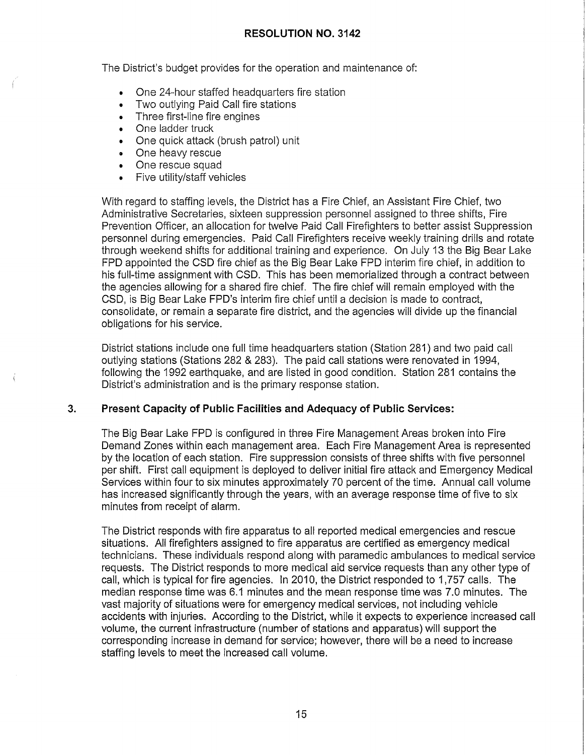The District's budget provides for the operation and maintenance of:

- One 24-hour staffed headquarters fire station
- Two outlying Paid Call fire stations
- Three first-line fire engines
- One ladder truck
- One quick attack (brush patrol) unit
- One heavy rescue
- One rescue squad
- Five utility/staff vehicles

With regard to staffing levels, the District has a Fire Chief, an Assistant Fire Chief, two Administrative Secretaries, sixteen suppression personnel assigned to three shifts, Fire Prevention Officer, an allocation for twelve Paid Call Firefighters to better assist Suppression personnel during emergencies. Paid Call Firefighters receive weekly training drills and rotate through weekend shifts for additional training and experience. On July 13 the Big Bear Lake FPO appointed the CSD fire chief as the Big Bear Lake FPO interim fire chief, in addition to his full-time assignment with CSD. This has been memorialized through a contract between the agencies allowing for a shared fire chief. The fire chief will remain employed with the CSD, is Big Bear Lake FPD's interim fire chief until a decision is made to contract, consolidate, or remain a separate fire district, and the agencies will divide up the financial obligations for his service.

District stations include one full time headquarters station (Station 281) and two paid call outlying stations (Stations 282 & 283). The paid call stations were renovated in 1994, following the 1992 earthquake, and are listed in good condition. Station 281 contains the District's administration and is the primary response station.

#### **3. Present Capacity of Public Facilities and Adequacy of Public Services:**

The Big Bear Lake FPO is configured in three Fire Management Areas broken into Fire Demand Zones within each management area. Each Fire Management Area is represented by the location of each station. Fire suppression consists of three shifts with five personnel per shift. First call equipment is deployed to deliver initial fire attack and Emergency Medical Services within four to six minutes approximately 70 percent of the time. Annual call volume has increased significantly through the years, with an average response time of five to six minutes from receipt of alarm.

The District responds with fire apparatus to all reported medical emergencies and rescue situations. All firefighters assigned to fire apparatus are certified as emergency medical technicians. These individuals respond along with paramedic ambulances to medical service requests. The District responds to more medical aid service requests than any other type of call, which is typical for fire agencies. In 2010, the District responded to 1,757 calls. The median response time was 6.1 minutes and the mean response time was 7.0 minutes. The vast majority of situations were for emergency medical services, not including vehicle accidents with injuries. According to the District, while it expects to experience increased call volume, the current infrastructure (number of stations and apparatus) will support the corresponding increase in demand for service; however, there will be a need to increase staffing levels to meet the increased call volume.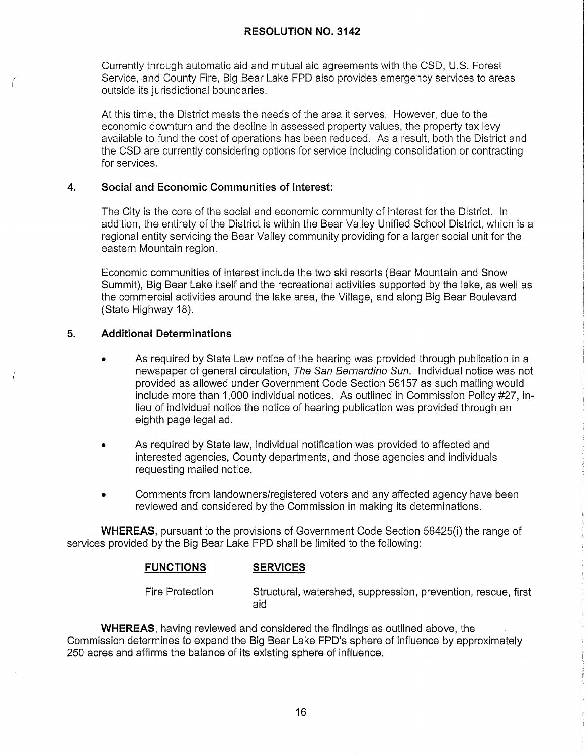Currently through automatic aid and mutual aid agreements with the CSD, U.S. Forest Service, and County Fire, Big Bear Lake FPO also provides emergency services to areas outside its jurisdictional boundaries.

At this time, the District meets the needs of the area it serves. However, due to the economic downturn and the decline in assessed property values, the property tax levy available to fund the cost of operations has been reduced. As a result, both the District and the CSD are currently considering options for service including consolidation or contracting for services.

# **4. Social and Economic Communities of Interest:**

The City is the core of the social and economic community of interest for the District. In addition, the entirety of the District is within the Bear Valley Unified School District, which is a regional entity servicing the Bear Valley community providing for a larger social unit for the eastern Mountain region.

Economic communities of interest include the two ski resorts (Bear Mountain and Snow Summit), Big Bear Lake itself and the recreational activities supported by the lake, as well as the commercial activities around the lake area, the Village, and along Big Bear Boulevard (State Highway 18).

# **5. Additional Determinations**

*i*  !

- As required by State Law notice of the hearing was provided through publication in a newspaper of general circulation, The San Bernardino Sun. Individual notice was not provided as allowed under Government Code Section 56157 as such mailing would include more than 1,000 individual notices. As outlined in Commission Policy #27, inlieu of individual notice the notice of hearing publication was provided through an eighth page legal ad.
- As required by State law, individual notification was provided to affected and interested agencies, County departments, and those agencies and individuals requesting mailed notice.
- Comments from landowners/registered voters and any affected agency have been reviewed and considered by the Commission in making its determinations.

**WHEREAS,** pursuant to the provisions of Government Code Section 56425(i) the range of services provided by the Big Bear Lake FPO shall be limited to the following:

# **FUNCTIONS SERVICES**

Fire Protection Structural, watershed, suppression, prevention, rescue, first aid

**WHEREAS,** having reviewed and considered the findings as outlined above, the Commission determines to expand the Big Bear Lake FPD's sphere of influence by approximately 250 acres and affirms the balance of its existing sphere of influence.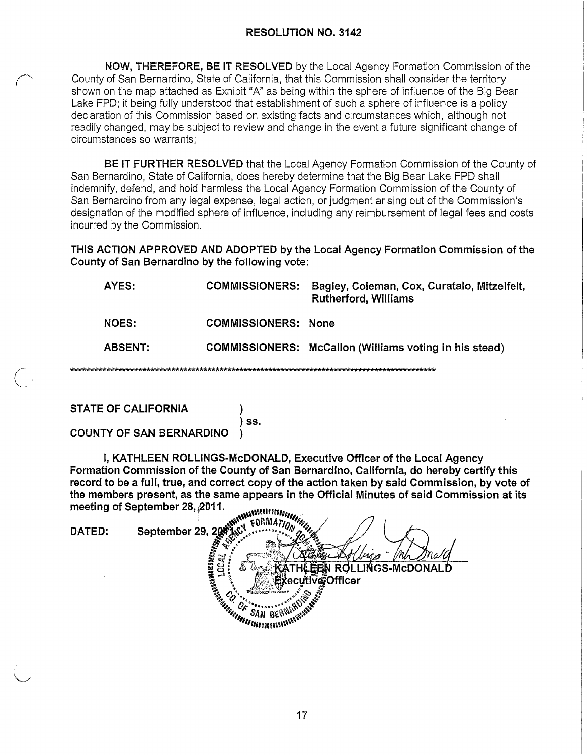**NOW, THEREFORE, BE IT RESOLVED** by the Local Agency Formation Commission of the County of San Bernardino, State of California, that this Commission shall consider the territory shown on the map attached as Exhibit "A" as being within the sphere of influence of the Big Bear Lake FPD; it being fully understood that establishment of such a sphere of influence is a policy declaration of this Commission based on existing facts and circumstances which, although not readily changed, may be subject to review and change in the event a future significant change of circumstances so warrants;

**BE IT FURTHER RESOLVED** that the Local Agency Formation Commission of the County of San Bernardino, State of California, does hereby determine that the Big Bear Lake FPO shall indemnify, defend, and hold harmless the Local Agency Formation Commission of the County of San Bernardino from any legal expense, legal action, or judgment arising out of the Commission's designation of the modified sphere of influence, including any reimbursement of legal fees and costs incurred by the Commission.

**THIS ACTION APPROVED AND ADOPTED by the Local Agency Formation Commission of the County of San Bernardino by the following vote:** 

| AYES:        | <b>COMMISSIONERS:</b>      | Bagley, Coleman, Cox, Curatalo, Mitzelfelt,<br><b>Rutherford, Williams</b> |
|--------------|----------------------------|----------------------------------------------------------------------------|
| <b>NOES:</b> | <b>COMMISSIONERS: None</b> |                                                                            |
| ABSENT:      |                            | COMMISSIONERS: McCallon (Williams voting in his stead)                     |
|              |                            |                                                                            |

**STATE OF CALIFORNIA** )

**COUNTY OF SAN BERNARDINO** )

I, KATHLEEN ROLLINGS-McDONALD, Executive Officer of the Local Agency Formation Commission of the County of San Bernardino, California, do hereby certify this record to be a full, true, and correct copy of the action taken by said Commission, by vote of the members present, as the same appears in the Official Minutes of said Commission at its meeting of September 28, 2011.

**SALAMANARA E CARDA A TITULADA**<br>SALAMATION A TITULA FORMATION September 29, 20 DATED: OLLINGS-McDONAL Executive and the country ்ecofficer

) **ss.**